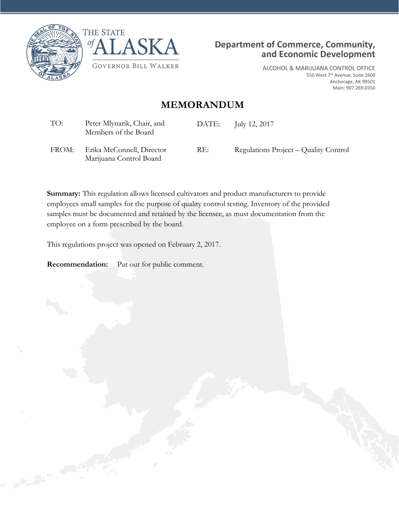





ALCOHOL & MARIJUANA CONTROL OFFICE 550 West 7th Avenue, Suite 1600 Anchorage, AK 99501 Main: 907.269.0350

## **MEMORANDUM**

| TO:   | Peter Mlynarik, Chair, and<br>Members of the Board | DATE: | July 12, 2017                         |
|-------|----------------------------------------------------|-------|---------------------------------------|
| FROM: | Erika McConnell, Director                          | RE:   | Regulations Project – Quality Control |

**Summary:** This regulation allows licensed cultivators and product manufacturers to provide employees small samples for the purpose of quality control testing. Inventory of the provided samples must be documented and retained by the licensee, as must documentation from the employee on a form prescribed by the board.

This regulations project was opened on February 2, 2017.

**Recommendation:** Put out for public comment.

Marijuana Control Board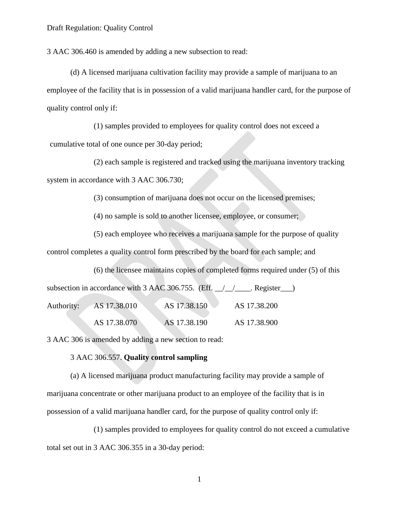3 AAC 306.460 is amended by adding a new subsection to read:

(d) A licensed marijuana cultivation facility may provide a sample of marijuana to an employee of the facility that is in possession of a valid marijuana handler card, for the purpose of quality control only if:

(1) samples provided to employees for quality control does not exceed a cumulative total of one ounce per 30-day period;

(2) each sample is registered and tracked using the marijuana inventory tracking system in accordance with 3 AAC 306.730;

(3) consumption of marijuana does not occur on the licensed premises;

(4) no sample is sold to another licensee, employee, or consumer;

(5) each employee who receives a marijuana sample for the purpose of quality

control completes a quality control form prescribed by the board for each sample; and

(6) the licensee maintains copies of completed forms required under (5) of this

subsection in accordance with 3 AAC 306.755. (Eff.  $\angle$  /  $\angle$  Register  $\Box$ ) Authority: AS 17.38.010 AS 17.38.150 AS 17.38.200 AS 17.38.070 AS 17.38.190 AS 17.38.900

3 AAC 306 is amended by adding a new section to read:

## 3 AAC 306.557. **Quality control sampling**

(a) A licensed marijuana product manufacturing facility may provide a sample of marijuana concentrate or other marijuana product to an employee of the facility that is in possession of a valid marijuana handler card, for the purpose of quality control only if:

(1) samples provided to employees for quality control do not exceed a cumulative total set out in 3 AAC 306.355 in a 30-day period:

1